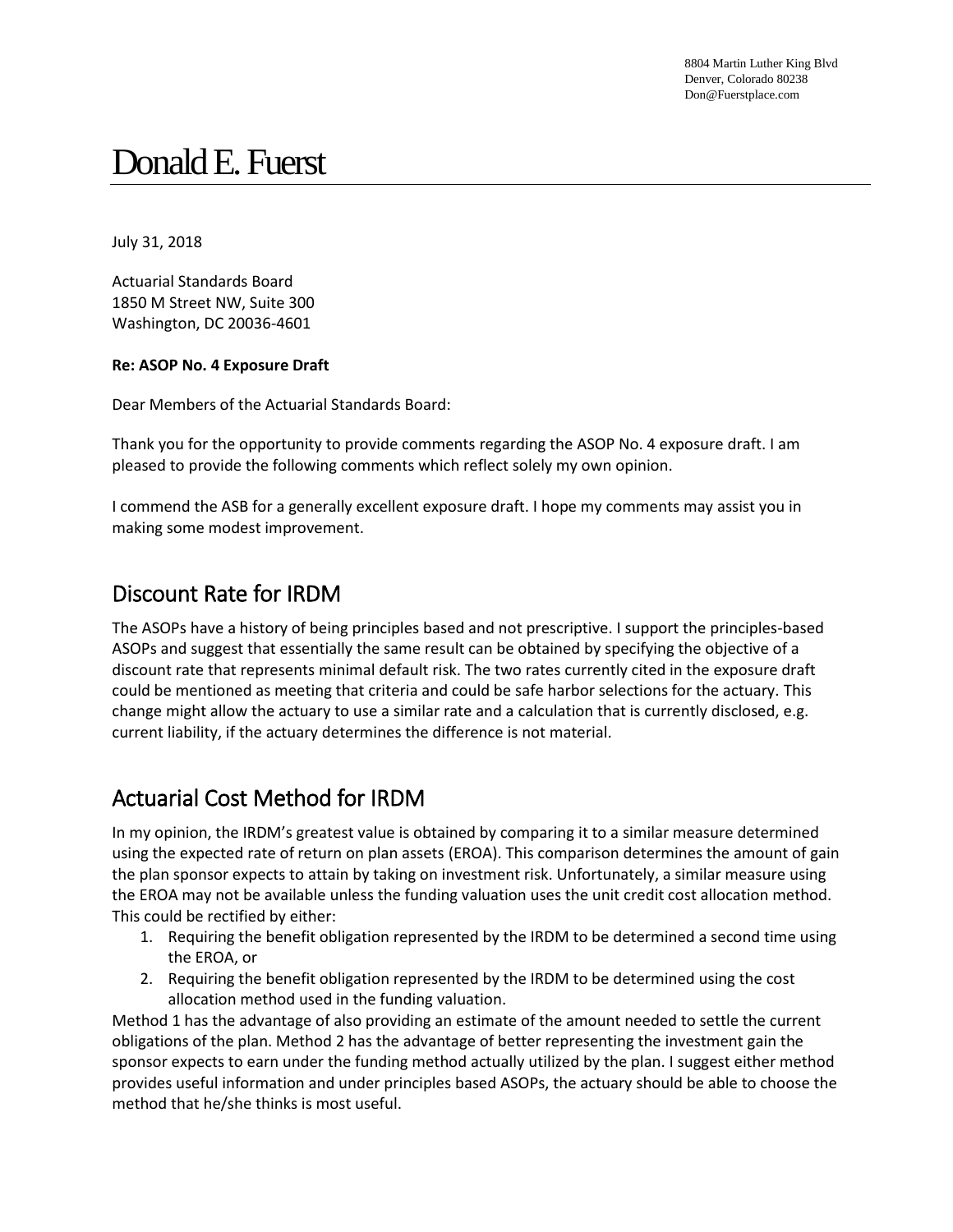8804 Martin Luther King Blvd Denver, Colorado 80238 Don@Fuerstplace.com

# Donald E. Fuerst

July 31, 2018

Actuarial Standards Board 1850 M Street NW, Suite 300 Washington, DC 20036-4601

#### **Re: ASOP No. 4 Exposure Draft**

Dear Members of the Actuarial Standards Board:

Thank you for the opportunity to provide comments regarding the ASOP No. 4 exposure draft. I am pleased to provide the following comments which reflect solely my own opinion.

I commend the ASB for a generally excellent exposure draft. I hope my comments may assist you in making some modest improvement.

#### Discount Rate for IRDM

The ASOPs have a history of being principles based and not prescriptive. I support the principles-based ASOPs and suggest that essentially the same result can be obtained by specifying the objective of a discount rate that represents minimal default risk. The two rates currently cited in the exposure draft could be mentioned as meeting that criteria and could be safe harbor selections for the actuary. This change might allow the actuary to use a similar rate and a calculation that is currently disclosed, e.g. current liability, if the actuary determines the difference is not material.

### Actuarial Cost Method for IRDM

In my opinion, the IRDM's greatest value is obtained by comparing it to a similar measure determined using the expected rate of return on plan assets (EROA). This comparison determines the amount of gain the plan sponsor expects to attain by taking on investment risk. Unfortunately, a similar measure using the EROA may not be available unless the funding valuation uses the unit credit cost allocation method. This could be rectified by either:

- 1. Requiring the benefit obligation represented by the IRDM to be determined a second time using the EROA, or
- 2. Requiring the benefit obligation represented by the IRDM to be determined using the cost allocation method used in the funding valuation.

Method 1 has the advantage of also providing an estimate of the amount needed to settle the current obligations of the plan. Method 2 has the advantage of better representing the investment gain the sponsor expects to earn under the funding method actually utilized by the plan. I suggest either method provides useful information and under principles based ASOPs, the actuary should be able to choose the method that he/she thinks is most useful.